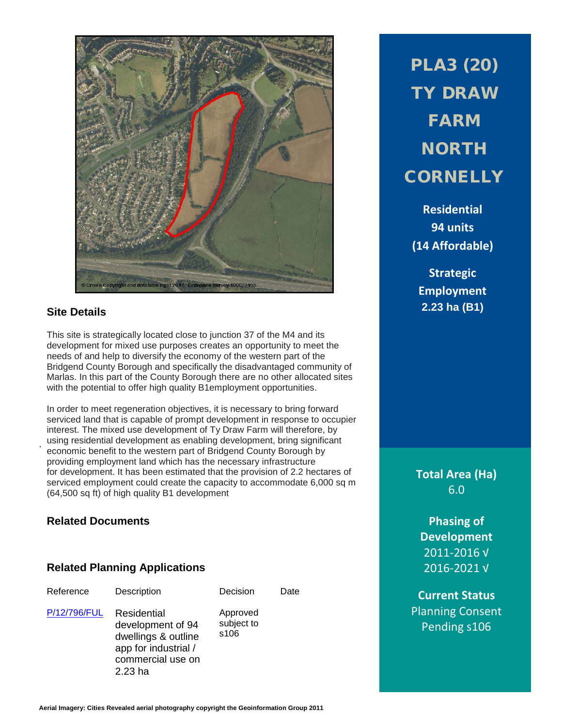

# **Site Details**

.

This site is strategically located close to junction 37 of the M4 and its development for mixed use purposes creates an opportunity to meet the needs of and help to diversify the economy of the western part of the Bridgend County Borough and specifically the disadvantaged community of Marlas. In this part of the County Borough there are no other allocated sites with the potential to offer high quality B1employment opportunities.

In order to meet regeneration objectives, it is necessary to bring forward serviced land that is capable of prompt development in response to occupier interest. The mixed use development of Ty Draw Farm will therefore, by using residential development as enabling development, bring significant economic benefit to the western part of Bridgend County Borough by providing employment land which has the necessary infrastructure for development. It has been estimated that the provision of 2.2 hectares of serviced employment could create the capacity to accommodate 6,000 sq m (64,500 sq ft) of high quality B1 development

# **Related Documents**

## **Related Planning Applications**

escription Decision Date

[P/12/796/FUL](http://planpor.bridgend.gov.uk/OcellaWeb/planningDetails?reference=P/12/796/FUL&from=planningSearch) Residential development of 94 dwellings & outline app for industrial / commercial use on 2.23 ha

Approved subject to s106

PLA3 (20) TY DRAW FARM NORTH **CORNELLY** 

**Residential 94 units (14 Affordable)**

**Strategic Employment 2.23 ha (B1)**

**Total Area (Ha)** 6.0

**Phasing of Development** 2011-2016 √ 2016-2021 √

**Current Status** Planning Consent Pending s106